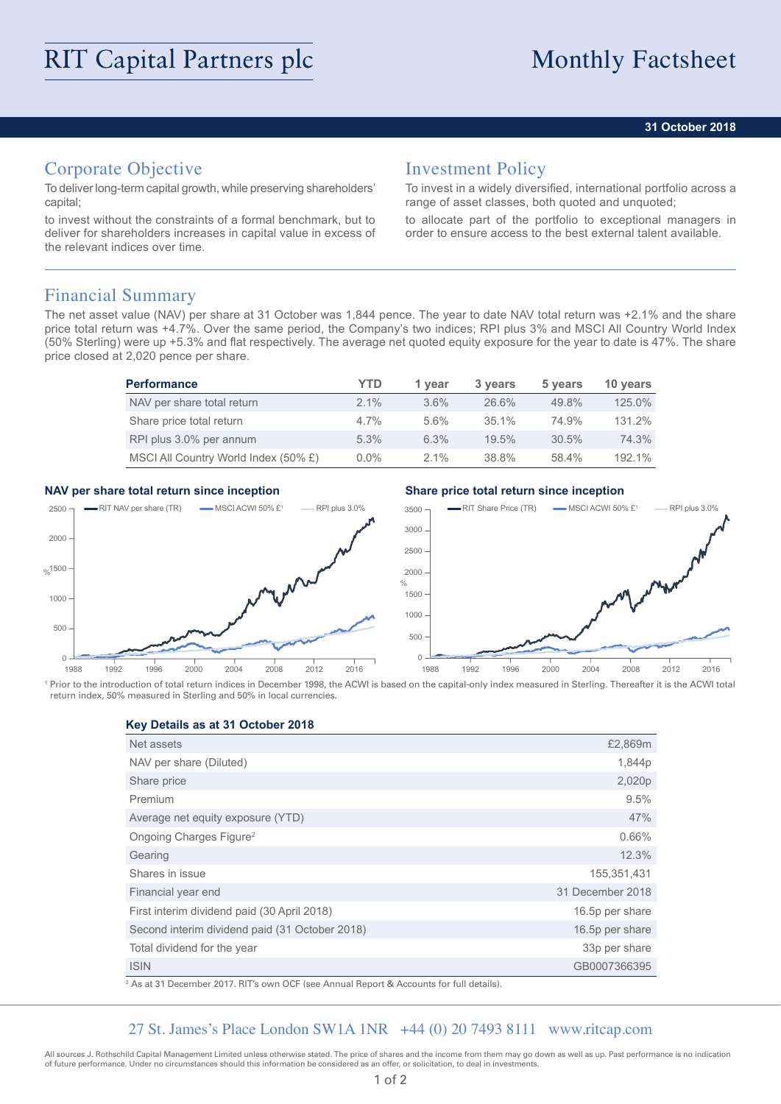### **31 October 2018**

## Corporate Objective

To deliver long-term capital growth, while preserving shareholders' capital;

to invest without the constraints of a formal benchmark, but to deliver for shareholders increases in capital value in excess of the relevant indices over time.

## Investment Policy

To invest in a widely diversified, international portfolio across a range of asset classes, both quoted and unquoted;

to allocate part of the portfolio to exceptional managers in order to ensure access to the best external talent available.

## Financial Summary

The net asset value (NAV) per share at 31 October was 1,844 pence. The year to date NAV total return was +2.1% and the share price total return was +4.7%. Over the same period, the Company's two indices; RPI plus 3% and MSCI All Country World Index (50% Sterling) were up +5.3% and flat respectively. The average net quoted equity exposure for the year to date is 47%. The share price closed at 2,020 pence per share.

| <b>Performance</b>                   | YTD     | 1 year  | 3 years | 5 years | 10 years |
|--------------------------------------|---------|---------|---------|---------|----------|
| NAV per share total return           | $2.1\%$ | $3.6\%$ | 26.6%   | 49.8%   | 125.0%   |
| Share price total return             | $4.7\%$ | $5.6\%$ | 35.1%   | 74.9%   | 131.2%   |
| RPI plus 3.0% per annum              | 5.3%    | 6.3%    | 19.5%   | 30.5%   | 74.3%    |
| MSCI All Country World Index (50% £) | $0.0\%$ | $2.1\%$ | 38.8%   | 58.4%   | 192.1%   |

### **NAV per share total return since inception Share price total return since inception**



<sup>1</sup> Prior to the introduction of total return indices in December 1998, the ACWI is based on the capital-only index measured in Sterling. Thereafter it is the ACWI total return index, 50% measured in Sterling and 50% in local currencies.

**Key Details as at 31 October 2018**

| Net assets                                     | £2,869m          |
|------------------------------------------------|------------------|
| NAV per share (Diluted)                        | 1,844p           |
| Share price                                    | 2,020p           |
| Premium                                        | 9.5%             |
| Average net equity exposure (YTD)              | 47%              |
| Ongoing Charges Figure <sup>2</sup>            | 0.66%            |
| Gearing                                        | 12.3%            |
| Shares in issue                                | 155,351,431      |
| Financial year end                             | 31 December 2018 |
| First interim dividend paid (30 April 2018)    | 16.5p per share  |
| Second interim dividend paid (31 October 2018) | 16.5p per share  |
| Total dividend for the year                    | 33p per share    |
| <b>ISIN</b>                                    | GB0007366395     |

2 As at 31 December 2017. RIT's own OCF (see Annual Report & Accounts for full details).

### 27 St. James's Place London SW1A 1NR +44 (0) 20 7493 8111 www.ritcap.com

All sources J. Rothschild Capital Management Limited unless otherwise stated. The price of shares and the income from them may go down as well as up. Past performance is no indication of future performance. Under no circumstances should this information be considered as an offer, or solicitation, to deal in investments.